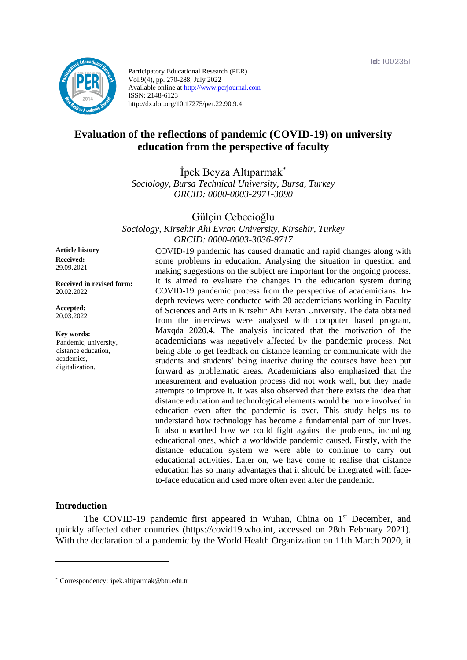

Participatory Educational Research (PER) Vol.9(4), pp. 270-288, July 2022 Available online at http://www.perjournal.com ISSN: 2148-6123 http://dx.doi.org/10.17275/per.22.90.9.4

# **Evaluation of the reflections of pandemic (COVID-19) on university education from the perspective of faculty**

İpek Beyza Altıparmak\*

*Sociology, Bursa Technical University, Bursa, Turkey ORCID: 0000-0003-2971-3090*

Gülçin Cebecioğlu

*Sociology, Kirsehir Ahi Evran University, Kirsehir, Turkey ORCID: 0000-0003-3036-9717*

**Article history Received:**  29.09.2021 **Received in revised form:**  20.02.2022 **Accepted:** 20.03.2022 COVID-19 pandemic has caused dramatic and rapid changes along with some problems in education. Analysing the situation in question and making suggestions on the subject are important for the ongoing process. It is aimed to evaluate the changes in the education system during COVID-19 pandemic process from the perspective of academicians. Indepth reviews were conducted with 20 academicians working in Faculty of Sciences and Arts in Kirsehir Ahi Evran University. The data obtained from the interviews were analysed with computer based program, Maxqda 2020.4. The analysis indicated that the motivation of the academicians was negatively affected by the pandemic process. Not being able to get feedback on distance learning or communicate with the students and students' being inactive during the courses have been put forward as problematic areas. Academicians also emphasized that the measurement and evaluation process did not work well, but they made attempts to improve it. It was also observed that there exists the idea that distance education and technological elements would be more involved in education even after the pandemic is over. This study helps us to understand how technology has become a fundamental part of our lives. It also unearthed how we could fight against the problems, including educational ones, which a worldwide pandemic caused. Firstly, with the distance education system we were able to continue to carry out educational activities. Later on, we have come to realise that distance education has so many advantages that it should be integrated with faceto-face education and used more often even after the pandemic. **Key words:** Pandemic, university, distance education, academics, digitalization.

#### **Introduction**

The COVID-19 pandemic first appeared in Wuhan, China on 1<sup>st</sup> December, and quickly affected other countries (https://covid19.who.int, accessed on 28th February 2021). With the declaration of a pandemic by the World Health Organization on 11th March 2020, it

<sup>\*</sup> [Correspondency:](mailto:Correspondency:) ipek.altiparmak@btu.edu.tr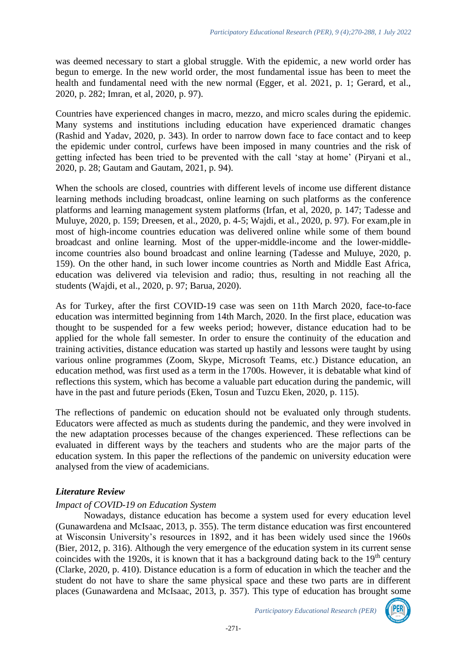was deemed necessary to start a global struggle. With the epidemic, a new world order has begun to emerge. In the new world order, the most fundamental issue has been to meet the health and fundamental need with the new normal (Egger, et al. 2021, p. 1; Gerard, et al., 2020, p. 282; Imran, et al, 2020, p. 97).

Countries have experienced changes in macro, mezzo, and micro scales during the epidemic. Many systems and institutions including education have experienced dramatic changes (Rashid and Yadav, 2020, p. 343). In order to narrow down face to face contact and to keep the epidemic under control, curfews have been imposed in many countries and the risk of getting infected has been tried to be prevented with the call 'stay at home' (Piryani et al., 2020, p. 28; Gautam and Gautam, 2021, p. 94).

When the schools are closed, countries with different levels of income use different distance learning methods including broadcast, online learning on such platforms as the conference platforms and learning management system platforms (Irfan, et al, 2020, p. 147; Tadesse and Muluye, 2020, p. 159; Dreesen, et al., 2020, p. 4-5; Wajdi, et al., 2020, p. 97). For exam,ple in most of high-income countries education was delivered online while some of them bound broadcast and online learning. Most of the upper-middle-income and the lower-middleincome countries also bound broadcast and online learning (Tadesse and Muluye, 2020, p. 159). On the other hand, in such lower income countries as North and Middle East Africa, education was delivered via television and radio; thus, resulting in not reaching all the students (Wajdi, et al., 2020, p. 97; Barua, 2020).

As for Turkey, after the first COVID-19 case was seen on 11th March 2020, face-to-face education was intermitted beginning from 14th March, 2020. In the first place, education was thought to be suspended for a few weeks period; however, distance education had to be applied for the whole fall semester. In order to ensure the continuity of the education and training activities, distance education was started up hastily and lessons were taught by using various online programmes (Zoom, Skype, Microsoft Teams, etc.) Distance education, an education method, was first used as a term in the 1700s. However, it is debatable what kind of reflections this system, which has become a valuable part education during the pandemic, will have in the past and future periods (Eken, Tosun and Tuzcu Eken, 2020, p. 115).

The reflections of pandemic on education should not be evaluated only through students. Educators were affected as much as students during the pandemic, and they were involved in the new adaptation processes because of the changes experienced. These reflections can be evaluated in different ways by the teachers and students who are the major parts of the education system. In this paper the reflections of the pandemic on university education were analysed from the view of academicians.

# *Literature Review*

### *Impact of COVID-19 on Education System*

Nowadays, distance education has become a system used for every education level (Gunawardena and McIsaac, 2013, p. 355). The term distance education was first encountered at Wisconsin University's resources in 1892, and it has been widely used since the 1960s (Bier, 2012, p. 316). Although the very emergence of the education system in its current sense coincides with the 1920s, it is known that it has a background dating back to the  $19<sup>th</sup>$  century (Clarke, 2020, p. 410). Distance education is a form of education in which the teacher and the student do not have to share the same physical space and these two parts are in different places (Gunawardena and McIsaac, 2013, p. 357). This type of education has brought some

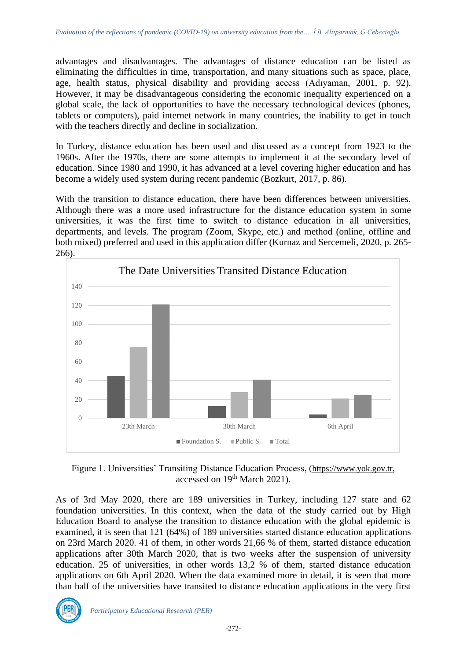advantages and disadvantages. The advantages of distance education can be listed as eliminating the difficulties in time, transportation, and many situations such as space, place, age, health status, physical disability and providing access (Adıyaman, 2001, p. 92). However, it may be disadvantageous considering the economic inequality experienced on a global scale, the lack of opportunities to have the necessary technological devices (phones, tablets or computers), paid internet network in many countries, the inability to get in touch with the teachers directly and decline in socialization.

In Turkey, distance education has been used and discussed as a concept from 1923 to the 1960s. After the 1970s, there are some attempts to implement it at the secondary level of education. Since 1980 and 1990, it has advanced at a level covering higher education and has become a widely used system during recent pandemic (Bozkurt, 2017, p. 86).

With the transition to distance education, there have been differences between universities. Although there was a more used infrastructure for the distance education system in some universities, it was the first time to switch to distance education in all universities, departments, and levels. The program (Zoom, Skype, etc.) and method (online, offline and both mixed) preferred and used in this application differ (Kurnaz and Sercemeli, 2020, p. 265- 266).



Figure 1. Universities' Transiting Distance Education Process, ([https://www.yok.gov.tr](https://www.yok.gov.tr/), accessed on 19<sup>th</sup> March 2021).

As of 3rd May 2020, there are 189 universities in Turkey, including 127 state and 62 foundation universities. In this context, when the data of the study carried out by High Education Board to analyse the transition to distance education with the global epidemic is examined, it is seen that 121 (64%) of 189 universities started distance education applications on 23rd March 2020. 41 of them, in other words 21,66 % of them, started distance education applications after 30th March 2020, that is two weeks after the suspension of university education. 25 of universities, in other words 13,2 % of them, started distance education applications on 6th April 2020. When the data examined more in detail, it is seen that more than half of the universities have transited to distance education applications in the very first

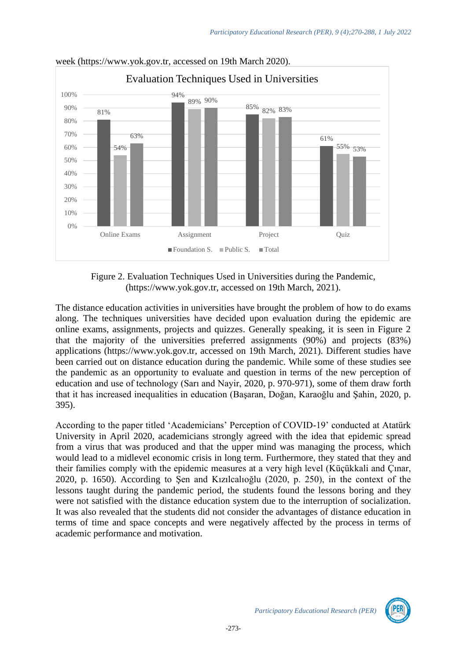

week [\(https://www.yok.gov.tr,](https://www.yok.gov.tr/) accessed on 19th March 2020).

Figure 2. Evaluation Techniques Used in Universities during the Pandemic, (https://www.yok.gov.tr, accessed on 19th March, 2021).

The distance education activities in universities have brought the problem of how to do exams along. The techniques universities have decided upon evaluation during the epidemic are online exams, assignments, projects and quizzes. Generally speaking, it is seen in Figure 2 that the majority of the universities preferred assignments (90%) and projects (83%) applications (https://www.yok.gov.tr, accessed on 19th March, 2021). Different studies have been carried out on distance education during the pandemic. While some of these studies see the pandemic as an opportunity to evaluate and question in terms of the new perception of education and use of technology (Sarı and Nayir, 2020, p. 970-971), some of them draw forth that it has increased inequalities in education (Başaran, Doğan, Karaoğlu and Şahin, 2020, p. 395).

According to the paper titled 'Academicians' Perception of COVID-19' conducted at Atatürk University in April 2020, academicians strongly agreed with the idea that epidemic spread from a virus that was produced and that the upper mind was managing the process, which would lead to a midlevel economic crisis in long term. Furthermore, they stated that they and their families comply with the epidemic measures at a very high level (Küçükkali and Çınar, 2020, p. 1650). According to Şen and Kızılcalıoğlu (2020, p. 250), in the context of the lessons taught during the pandemic period, the students found the lessons boring and they were not satisfied with the distance education system due to the interruption of socialization. It was also revealed that the students did not consider the advantages of distance education in terms of time and space concepts and were negatively affected by the process in terms of academic performance and motivation.

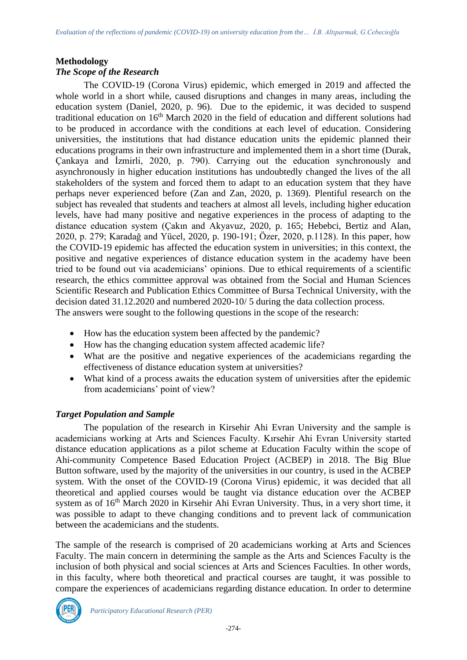### **Methodology**

### *The Scope of the Research*

The COVID-19 (Corona Virus) epidemic, which emerged in 2019 and affected the whole world in a short while, caused disruptions and changes in many areas, including the education system (Daniel, 2020, p. 96). Due to the epidemic, it was decided to suspend traditional education on 16<sup>th</sup> March 2020 in the field of education and different solutions had to be produced in accordance with the conditions at each level of education. Considering universities, the institutions that had distance education units the epidemic planned their educations programs in their own infrastructure and implemented them in a short time (Durak, Çankaya and İzmirli, 2020, p. 790). Carrying out the education synchronously and asynchronously in higher education institutions has undoubtedly changed the lives of the all stakeholders of the system and forced them to adapt to an education system that they have perhaps never experienced before (Zan and Zan, 2020, p. 1369). Plentiful research on the subject has revealed that students and teachers at almost all levels, including higher education levels, have had many positive and negative experiences in the process of adapting to the distance education system (Çakın and Akyavuz, 2020, p. 165; Hebebci, Bertiz and Alan, 2020, p. 279; Karadağ and Yücel, 2020, p. 190-191; Özer, 2020, p.1128). In this paper, how the COVID-19 epidemic has affected the education system in universities; in this context, the positive and negative experiences of distance education system in the academy have been tried to be found out via academicians' opinions. Due to ethical requirements of a scientific research, the ethics committee approval was obtained from the Social and Human Sciences Scientific Research and Publication Ethics Committee of Bursa Technical University, with the decision dated 31.12.2020 and numbered 2020-10/ 5 during the data collection process. The answers were sought to the following questions in the scope of the research:

- How has the education system been affected by the pandemic?
- How has the changing education system affected academic life?
- What are the positive and negative experiences of the academicians regarding the effectiveness of distance education system at universities?
- What kind of a process awaits the education system of universities after the epidemic from academicians' point of view?

### *Target Population and Sample*

The population of the research in Kirsehir Ahi Evran University and the sample is academicians working at Arts and Sciences Faculty. Kırsehir Ahi Evran University started distance education applications as a pilot scheme at Education Faculty within the scope of Ahi-community Competence Based Education Project (ACBEP) in 2018. The Big Blue Button software, used by the majority of the universities in our country, is used in the ACBEP system. With the onset of the COVID-19 (Corona Virus) epidemic, it was decided that all theoretical and applied courses would be taught via distance education over the ACBEP system as of 16<sup>th</sup> March 2020 in Kirsehir Ahi Evran University. Thus, in a very short time, it was possible to adapt to theve changing conditions and to prevent lack of communication between the academicians and the students.

The sample of the research is comprised of 20 academicians working at Arts and Sciences Faculty. The main concern in determining the sample as the Arts and Sciences Faculty is the inclusion of both physical and social sciences at Arts and Sciences Faculties. In other words, in this faculty, where both theoretical and practical courses are taught, it was possible to compare the experiences of academicians regarding distance education. In order to determine

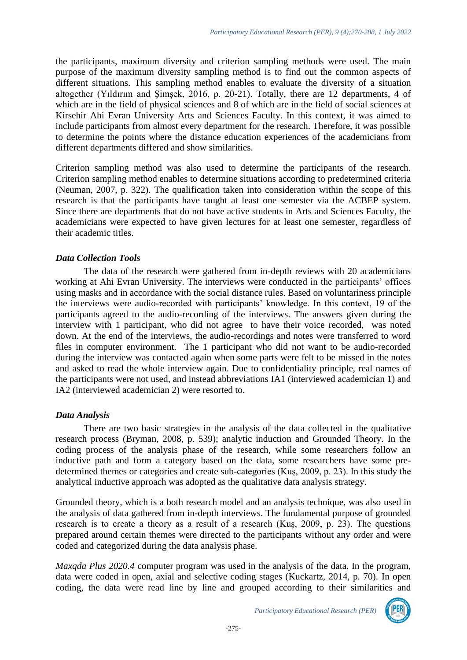the participants, maximum diversity and criterion sampling methods were used. The main purpose of the maximum diversity sampling method is to find out the common aspects of different situations. This sampling method enables to evaluate the diversity of a situation altogether (Yıldırım and Şimşek, 2016, p. 20-21). Totally, there are 12 departments, 4 of which are in the field of physical sciences and 8 of which are in the field of social sciences at Kirsehir Ahi Evran University Arts and Sciences Faculty. In this context, it was aimed to include participants from almost every department for the research. Therefore, it was possible to determine the points where the distance education experiences of the academicians from different departments differed and show similarities.

Criterion sampling method was also used to determine the participants of the research. Criterion sampling method enables to determine situations according to predetermined criteria (Neuman, 2007, p. 322). The qualification taken into consideration within the scope of this research is that the participants have taught at least one semester via the ACBEP system. Since there are departments that do not have active students in Arts and Sciences Faculty, the academicians were expected to have given lectures for at least one semester, regardless of their academic titles.

### *Data Collection Tools*

The data of the research were gathered from in-depth reviews with 20 academicians working at Ahi Evran University. The interviews were conducted in the participants' offices using masks and in accordance with the social distance rules. Based on voluntariness principle the interviews were audio-recorded with participants' knowledge. In this context, 19 of the participants agreed to the audio-recording of the interviews. The answers given during the interview with 1 participant, who did not agree to have their voice recorded, was noted down. At the end of the interviews, the audio-recordings and notes were transferred to word files in computer environment. The 1 participant who did not want to be audio-recorded during the interview was contacted again when some parts were felt to be missed in the notes and asked to read the whole interview again. Due to confidentiality principle, real names of the participants were not used, and instead abbreviations IA1 (interviewed academician 1) and IA2 (interviewed academician 2) were resorted to.

### *Data Analysis*

There are two basic strategies in the analysis of the data collected in the qualitative research process (Bryman, 2008, p. 539); analytic induction and Grounded Theory. In the coding process of the analysis phase of the research, while some researchers follow an inductive path and form a category based on the data, some researchers have some predetermined themes or categories and create sub-categories (Kuş, 2009, p. 23). In this study the analytical inductive approach was adopted as the qualitative data analysis strategy.

Grounded theory, which is a both research model and an analysis technique, was also used in the analysis of data gathered from in-depth interviews. The fundamental purpose of grounded research is to create a theory as a result of a research (Kuş, 2009, p. 23). The questions prepared around certain themes were directed to the participants without any order and were coded and categorized during the data analysis phase.

*Maxqda Plus 2020.4* computer program was used in the analysis of the data. In the program, data were coded in open, axial and selective coding stages (Kuckartz, 2014, p. 70). In open coding, the data were read line by line and grouped according to their similarities and

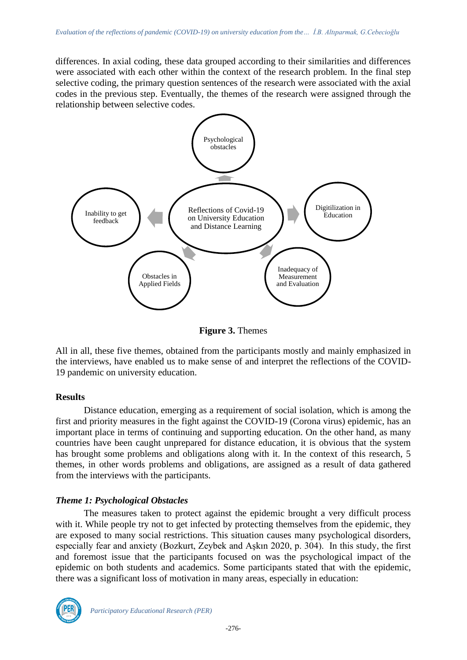differences. In axial coding, these data grouped according to their similarities and differences were associated with each other within the context of the research problem. In the final step selective coding, the primary question sentences of the research were associated with the axial codes in the previous step. Eventually, the themes of the research were assigned through the relationship between selective codes.



**Figure 3.** Themes

All in all, these five themes, obtained from the participants mostly and mainly emphasized in the interviews, have enabled us to make sense of and interpret the reflections of the COVID-19 pandemic on university education.

#### **Results**

Distance education, emerging as a requirement of social isolation, which is among the first and priority measures in the fight against the COVID-19 (Corona virus) epidemic, has an important place in terms of continuing and supporting education. On the other hand, as many countries have been caught unprepared for distance education, it is obvious that the system has brought some problems and obligations along with it. In the context of this research, 5 themes, in other words problems and obligations, are assigned as a result of data gathered from the interviews with the participants.

### *Theme 1: Psychological Obstacles*

The measures taken to protect against the epidemic brought a very difficult process with it. While people try not to get infected by protecting themselves from the epidemic, they are exposed to many social restrictions. This situation causes many psychological disorders, especially fear and anxiety (Bozkurt, Zeybek and Aşkın 2020, p. 304). In this study, the first and foremost issue that the participants focused on was the psychological impact of the epidemic on both students and academics. Some participants stated that with the epidemic, there was a significant loss of motivation in many areas, especially in education:

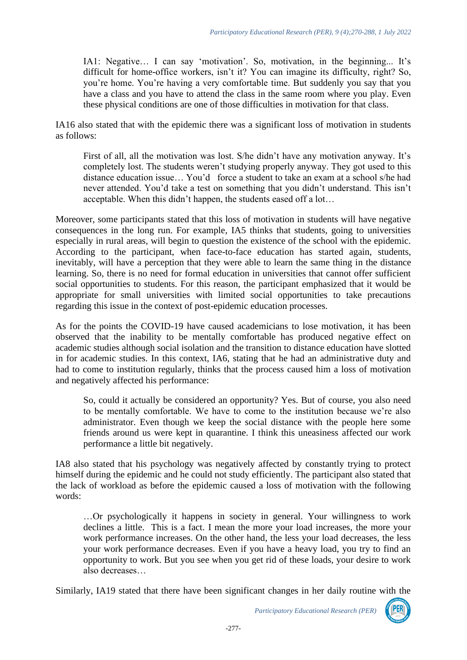IA1: Negative… I can say 'motivation'. So, motivation, in the beginning... It's difficult for home-office workers, isn't it? You can imagine its difficulty, right? So, you're home. You're having a very comfortable time. But suddenly you say that you have a class and you have to attend the class in the same room where you play. Even these physical conditions are one of those difficulties in motivation for that class.

IA16 also stated that with the epidemic there was a significant loss of motivation in students as follows:

First of all, all the motivation was lost. S/he didn't have any motivation anyway. It's completely lost. The students weren't studying properly anyway. They got used to this distance education issue… You'd force a student to take an exam at a school s/he had never attended. You'd take a test on something that you didn't understand. This isn't acceptable. When this didn't happen, the students eased off a lot…

Moreover, some participants stated that this loss of motivation in students will have negative consequences in the long run. For example, IA5 thinks that students, going to universities especially in rural areas, will begin to question the existence of the school with the epidemic. According to the participant, when face-to-face education has started again, students, inevitably, will have a perception that they were able to learn the same thing in the distance learning. So, there is no need for formal education in universities that cannot offer sufficient social opportunities to students. For this reason, the participant emphasized that it would be appropriate for small universities with limited social opportunities to take precautions regarding this issue in the context of post-epidemic education processes.

As for the points the COVID-19 have caused academicians to lose motivation, it has been observed that the inability to be mentally comfortable has produced negative effect on academic studies although social isolation and the transition to distance education have slotted in for academic studies. In this context, IA6, stating that he had an administrative duty and had to come to institution regularly, thinks that the process caused him a loss of motivation and negatively affected his performance:

So, could it actually be considered an opportunity? Yes. But of course, you also need to be mentally comfortable. We have to come to the institution because we're also administrator. Even though we keep the social distance with the people here some friends around us were kept in quarantine. I think this uneasiness affected our work performance a little bit negatively.

IA8 also stated that his psychology was negatively affected by constantly trying to protect himself during the epidemic and he could not study efficiently. The participant also stated that the lack of workload as before the epidemic caused a loss of motivation with the following words:

…Or psychologically it happens in society in general. Your willingness to work declines a little. This is a fact. I mean the more your load increases, the more your work performance increases. On the other hand, the less your load decreases, the less your work performance decreases. Even if you have a heavy load, you try to find an opportunity to work. But you see when you get rid of these loads, your desire to work also decreases…

Similarly, IA19 stated that there have been significant changes in her daily routine with the

*Participatory Educational Research (PER)*

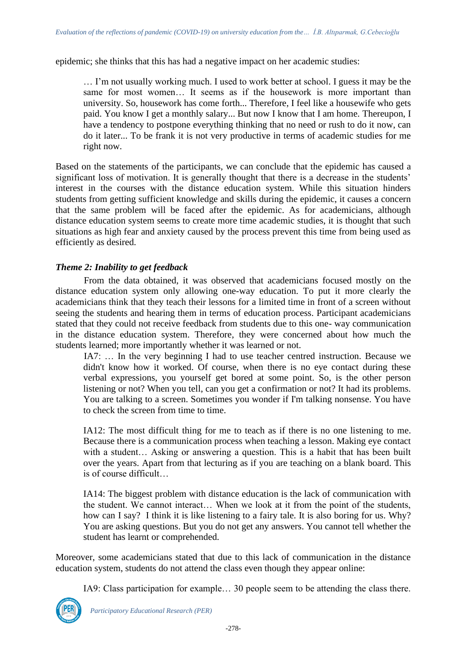epidemic; she thinks that this has had a negative impact on her academic studies:

… I'm not usually working much. I used to work better at school. I guess it may be the same for most women… It seems as if the housework is more important than university. So, housework has come forth... Therefore, I feel like a housewife who gets paid. You know I get a monthly salary... But now I know that I am home. Thereupon, I have a tendency to postpone everything thinking that no need or rush to do it now, can do it later... To be frank it is not very productive in terms of academic studies for me right now.

Based on the statements of the participants, we can conclude that the epidemic has caused a significant loss of motivation. It is generally thought that there is a decrease in the students' interest in the courses with the distance education system. While this situation hinders students from getting sufficient knowledge and skills during the epidemic, it causes a concern that the same problem will be faced after the epidemic. As for academicians, although distance education system seems to create more time academic studies, it is thought that such situations as high fear and anxiety caused by the process prevent this time from being used as efficiently as desired.

### *Theme 2: Inability to get feedback*

From the data obtained, it was observed that academicians focused mostly on the distance education system only allowing one-way education. To put it more clearly the academicians think that they teach their lessons for a limited time in front of a screen without seeing the students and hearing them in terms of education process. Participant academicians stated that they could not receive feedback from students due to this one- way communication in the distance education system. Therefore, they were concerned about how much the students learned; more importantly whether it was learned or not.

IA7: … In the very beginning I had to use teacher centred instruction. Because we didn't know how it worked. Of course, when there is no eye contact during these verbal expressions, you yourself get bored at some point. So, is the other person listening or not? When you tell, can you get a confirmation or not? It had its problems. You are talking to a screen. Sometimes you wonder if I'm talking nonsense. You have to check the screen from time to time.

IA12: The most difficult thing for me to teach as if there is no one listening to me. Because there is a communication process when teaching a lesson. Making eye contact with a student… Asking or answering a question. This is a habit that has been built over the years. Apart from that lecturing as if you are teaching on a blank board. This is of course difficult…

IA14: The biggest problem with distance education is the lack of communication with the student. We cannot interact… When we look at it from the point of the students, how can I say? I think it is like listening to a fairy tale. It is also boring for us. Why? You are asking questions. But you do not get any answers. You cannot tell whether the student has learnt or comprehended.

Moreover, some academicians stated that due to this lack of communication in the distance education system, students do not attend the class even though they appear online:

IA9: Class participation for example… 30 people seem to be attending the class there.

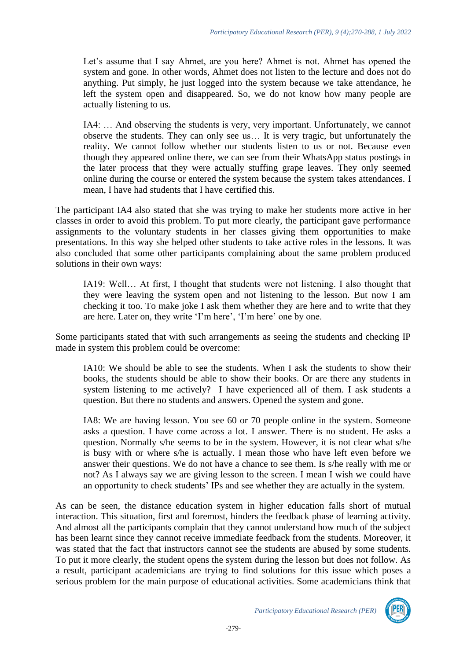Let's assume that I say Ahmet, are you here? Ahmet is not. Ahmet has opened the system and gone. In other words, Ahmet does not listen to the lecture and does not do anything. Put simply, he just logged into the system because we take attendance, he left the system open and disappeared. So, we do not know how many people are actually listening to us.

IA4: … And observing the students is very, very important. Unfortunately, we cannot observe the students. They can only see us… It is very tragic, but unfortunately the reality. We cannot follow whether our students listen to us or not. Because even though they appeared online there, we can see from their WhatsApp status postings in the later process that they were actually stuffing grape leaves. They only seemed online during the course or entered the system because the system takes attendances. I mean, I have had students that I have certified this.

The participant IA4 also stated that she was trying to make her students more active in her classes in order to avoid this problem. To put more clearly, the participant gave performance assignments to the voluntary students in her classes giving them opportunities to make presentations. In this way she helped other students to take active roles in the lessons. It was also concluded that some other participants complaining about the same problem produced solutions in their own ways:

IA19: Well… At first, I thought that students were not listening. I also thought that they were leaving the system open and not listening to the lesson. But now I am checking it too. To make joke I ask them whether they are here and to write that they are here. Later on, they write 'I'm here', 'I'm here' one by one.

Some participants stated that with such arrangements as seeing the students and checking IP made in system this problem could be overcome:

IA10: We should be able to see the students. When I ask the students to show their books, the students should be able to show their books. Or are there any students in system listening to me actively? I have experienced all of them. I ask students a question. But there no students and answers. Opened the system and gone.

IA8: We are having lesson. You see 60 or 70 people online in the system. Someone asks a question. I have come across a lot. I answer. There is no student. He asks a question. Normally s/he seems to be in the system. However, it is not clear what s/he is busy with or where s/he is actually. I mean those who have left even before we answer their questions. We do not have a chance to see them. Is s/he really with me or not? As I always say we are giving lesson to the screen. I mean I wish we could have an opportunity to check students' IPs and see whether they are actually in the system.

As can be seen, the distance education system in higher education falls short of mutual interaction. This situation, first and foremost, hinders the feedback phase of learning activity. And almost all the participants complain that they cannot understand how much of the subject has been learnt since they cannot receive immediate feedback from the students. Moreover, it was stated that the fact that instructors cannot see the students are abused by some students. To put it more clearly, the student opens the system during the lesson but does not follow. As a result, participant academicians are trying to find solutions for this issue which poses a serious problem for the main purpose of educational activities. Some academicians think that

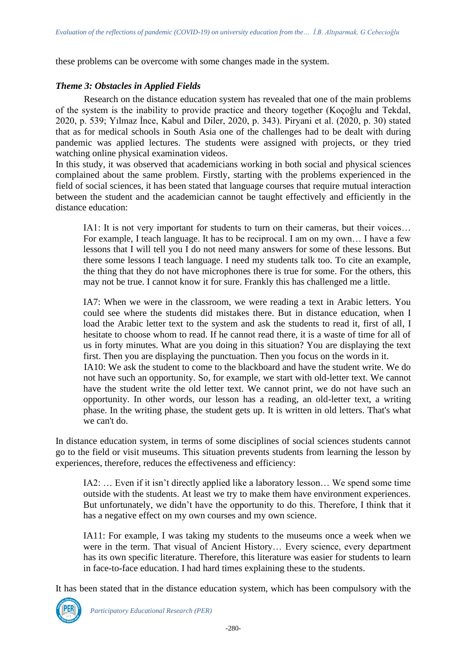these problems can be overcome with some changes made in the system.

### *Theme 3: Obstacles in Applied Fields*

Research on the distance education system has revealed that one of the main problems of the system is the inability to provide practice and theory together (Koçoğlu and Tekdal, 2020, p. 539; Yılmaz İnce, Kabul and Diler, 2020, p. 343). Piryani et al. (2020, p. 30) stated that as for medical schools in South Asia one of the challenges had to be dealt with during pandemic was applied lectures. The students were assigned with projects, or they tried watching online physical examination videos.

In this study, it was observed that academicians working in both social and physical sciences complained about the same problem. Firstly, starting with the problems experienced in the field of social sciences, it has been stated that language courses that require mutual interaction between the student and the academician cannot be taught effectively and efficiently in the distance education:

IA1: It is not very important for students to turn on their cameras, but their voices… For example, I teach language. It has to be reciprocal. I am on my own… I have a few lessons that I will tell you I do not need many answers for some of these lessons. But there some lessons I teach language. I need my students talk too. To cite an example, the thing that they do not have microphones there is true for some. For the others, this may not be true. I cannot know it for sure. Frankly this has challenged me a little.

IA7: When we were in the classroom, we were reading a text in Arabic letters. You could see where the students did mistakes there. But in distance education, when I load the Arabic letter text to the system and ask the students to read it, first of all, I hesitate to choose whom to read. If he cannot read there, it is a waste of time for all of us in forty minutes. What are you doing in this situation? You are displaying the text first. Then you are displaying the punctuation. Then you focus on the words in it. IA10: We ask the student to come to the blackboard and have the student write. We do not have such an opportunity. So, for example, we start with old-letter text. We cannot

have the student write the old letter text. We cannot print, we do not have such an opportunity. In other words, our lesson has a reading, an old-letter text, a writing phase. In the writing phase, the student gets up. It is written in old letters. That's what we can't do.

In distance education system, in terms of some disciplines of social sciences students cannot go to the field or visit museums. This situation prevents students from learning the lesson by experiences, therefore, reduces the effectiveness and efficiency:

IA2: … Even if it isn't directly applied like a laboratory lesson… We spend some time outside with the students. At least we try to make them have environment experiences. But unfortunately, we didn't have the opportunity to do this. Therefore, I think that it has a negative effect on my own courses and my own science.

IA11: For example, I was taking my students to the museums once a week when we were in the term. That visual of Ancient History… Every science, every department has its own specific literature. Therefore, this literature was easier for students to learn in face-to-face education. I had hard times explaining these to the students.

It has been stated that in the distance education system, which has been compulsory with the

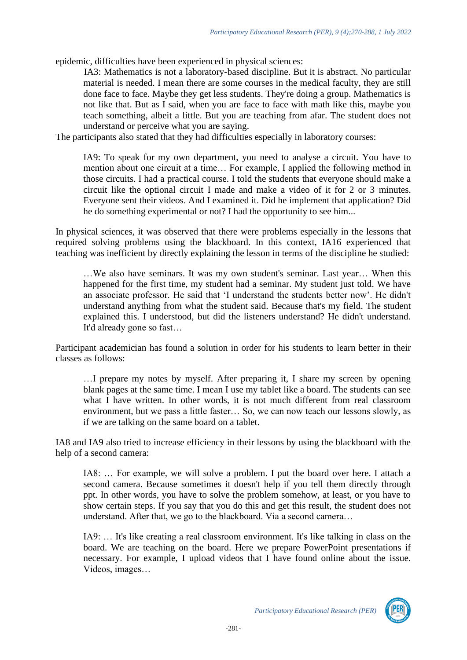epidemic, difficulties have been experienced in physical sciences:

IA3: Mathematics is not a laboratory-based discipline. But it is abstract. No particular material is needed. I mean there are some courses in the medical faculty, they are still done face to face. Maybe they get less students. They're doing a group. Mathematics is not like that. But as I said, when you are face to face with math like this, maybe you teach something, albeit a little. But you are teaching from afar. The student does not understand or perceive what you are saying.

The participants also stated that they had difficulties especially in laboratory courses:

IA9: To speak for my own department, you need to analyse a circuit. You have to mention about one circuit at a time… For example, I applied the following method in those circuits. I had a practical course. I told the students that everyone should make a circuit like the optional circuit I made and make a video of it for 2 or 3 minutes. Everyone sent their videos. And I examined it. Did he implement that application? Did he do something experimental or not? I had the opportunity to see him...

In physical sciences, it was observed that there were problems especially in the lessons that required solving problems using the blackboard. In this context, IA16 experienced that teaching was inefficient by directly explaining the lesson in terms of the discipline he studied:

…We also have seminars. It was my own student's seminar. Last year… When this happened for the first time, my student had a seminar. My student just told. We have an associate professor. He said that 'I understand the students better now'. He didn't understand anything from what the student said. Because that's my field. The student explained this. I understood, but did the listeners understand? He didn't understand. It'd already gone so fast…

Participant academician has found a solution in order for his students to learn better in their classes as follows:

…I prepare my notes by myself. After preparing it, I share my screen by opening blank pages at the same time. I mean I use my tablet like a board. The students can see what I have written. In other words, it is not much different from real classroom environment, but we pass a little faster… So, we can now teach our lessons slowly, as if we are talking on the same board on a tablet.

IA8 and IA9 also tried to increase efficiency in their lessons by using the blackboard with the help of a second camera:

IA8: … For example, we will solve a problem. I put the board over here. I attach a second camera. Because sometimes it doesn't help if you tell them directly through ppt. In other words, you have to solve the problem somehow, at least, or you have to show certain steps. If you say that you do this and get this result, the student does not understand. After that, we go to the blackboard. Via a second camera…

IA9: … It's like creating a real classroom environment. It's like talking in class on the board. We are teaching on the board. Here we prepare PowerPoint presentations if necessary. For example, I upload videos that I have found online about the issue. Videos, images…

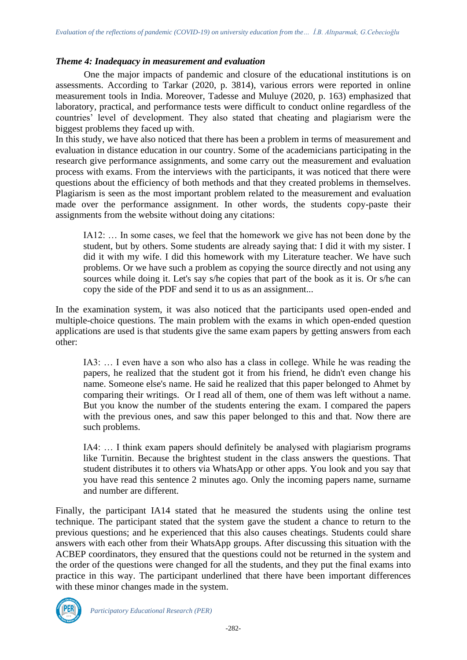#### *Theme 4: Inadequacy in measurement and evaluation*

One the major impacts of pandemic and closure of the educational institutions is on assessments. According to Tarkar (2020, p. 3814), various errors were reported in online measurement tools in India. Moreover, Tadesse and Muluye (2020, p. 163) emphasized that laboratory, practical, and performance tests were difficult to conduct online regardless of the countries' level of development. They also stated that cheating and plagiarism were the biggest problems they faced up with.

In this study, we have also noticed that there has been a problem in terms of measurement and evaluation in distance education in our country. Some of the academicians participating in the research give performance assignments, and some carry out the measurement and evaluation process with exams. From the interviews with the participants, it was noticed that there were questions about the efficiency of both methods and that they created problems in themselves. Plagiarism is seen as the most important problem related to the measurement and evaluation made over the performance assignment. In other words, the students copy-paste their assignments from the website without doing any citations:

IA12: … In some cases, we feel that the homework we give has not been done by the student, but by others. Some students are already saying that: I did it with my sister. I did it with my wife. I did this homework with my Literature teacher. We have such problems. Or we have such a problem as copying the source directly and not using any sources while doing it. Let's say s/he copies that part of the book as it is. Or s/he can copy the side of the PDF and send it to us as an assignment...

In the examination system, it was also noticed that the participants used open-ended and multiple-choice questions. The main problem with the exams in which open-ended question applications are used is that students give the same exam papers by getting answers from each other:

IA3: … I even have a son who also has a class in college. While he was reading the papers, he realized that the student got it from his friend, he didn't even change his name. Someone else's name. He said he realized that this paper belonged to Ahmet by comparing their writings. Or I read all of them, one of them was left without a name. But you know the number of the students entering the exam. I compared the papers with the previous ones, and saw this paper belonged to this and that. Now there are such problems.

IA4: … I think exam papers should definitely be analysed with plagiarism programs like Turnitin. Because the brightest student in the class answers the questions. That student distributes it to others via WhatsApp or other apps. You look and you say that you have read this sentence 2 minutes ago. Only the incoming papers name, surname and number are different.

Finally, the participant IA14 stated that he measured the students using the online test technique. The participant stated that the system gave the student a chance to return to the previous questions; and he experienced that this also causes cheatings. Students could share answers with each other from their WhatsApp groups. After discussing this situation with the ACBEP coordinators, they ensured that the questions could not be returned in the system and the order of the questions were changed for all the students, and they put the final exams into practice in this way. The participant underlined that there have been important differences with these minor changes made in the system.

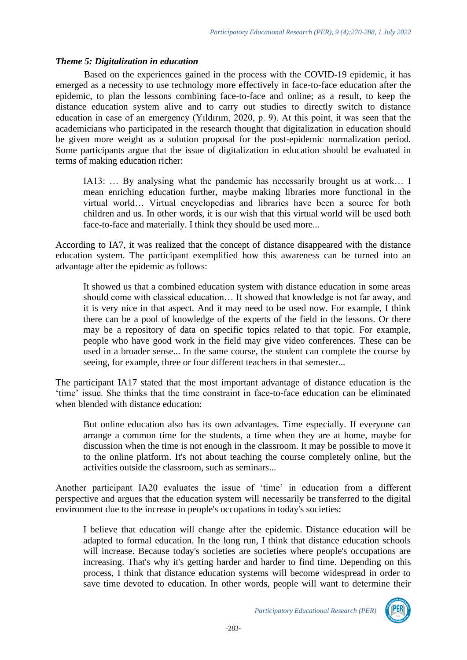#### *Theme 5: Digitalization in education*

Based on the experiences gained in the process with the COVID-19 epidemic, it has emerged as a necessity to use technology more effectively in face-to-face education after the epidemic, to plan the lessons combining face-to-face and online; as a result, to keep the distance education system alive and to carry out studies to directly switch to distance education in case of an emergency (Yıldırım, 2020, p. 9). At this point, it was seen that the academicians who participated in the research thought that digitalization in education should be given more weight as a solution proposal for the post-epidemic normalization period. Some participants argue that the issue of digitalization in education should be evaluated in terms of making education richer:

IA13: … By analysing what the pandemic has necessarily brought us at work… I mean enriching education further, maybe making libraries more functional in the virtual world… Virtual encyclopedias and libraries have been a source for both children and us. In other words, it is our wish that this virtual world will be used both face-to-face and materially. I think they should be used more...

According to IA7, it was realized that the concept of distance disappeared with the distance education system. The participant exemplified how this awareness can be turned into an advantage after the epidemic as follows:

It showed us that a combined education system with distance education in some areas should come with classical education… It showed that knowledge is not far away, and it is very nice in that aspect. And it may need to be used now. For example, I think there can be a pool of knowledge of the experts of the field in the lessons. Or there may be a repository of data on specific topics related to that topic. For example, people who have good work in the field may give video conferences. These can be used in a broader sense... In the same course, the student can complete the course by seeing, for example, three or four different teachers in that semester...

The participant IA17 stated that the most important advantage of distance education is the 'time' issue. She thinks that the time constraint in face-to-face education can be eliminated when blended with distance education:

But online education also has its own advantages. Time especially. If everyone can arrange a common time for the students, a time when they are at home, maybe for discussion when the time is not enough in the classroom. It may be possible to move it to the online platform. It's not about teaching the course completely online, but the activities outside the classroom, such as seminars...

Another participant IA20 evaluates the issue of 'time' in education from a different perspective and argues that the education system will necessarily be transferred to the digital environment due to the increase in people's occupations in today's societies:

I believe that education will change after the epidemic. Distance education will be adapted to formal education. In the long run, I think that distance education schools will increase. Because today's societies are societies where people's occupations are increasing. That's why it's getting harder and harder to find time. Depending on this process, I think that distance education systems will become widespread in order to save time devoted to education. In other words, people will want to determine their

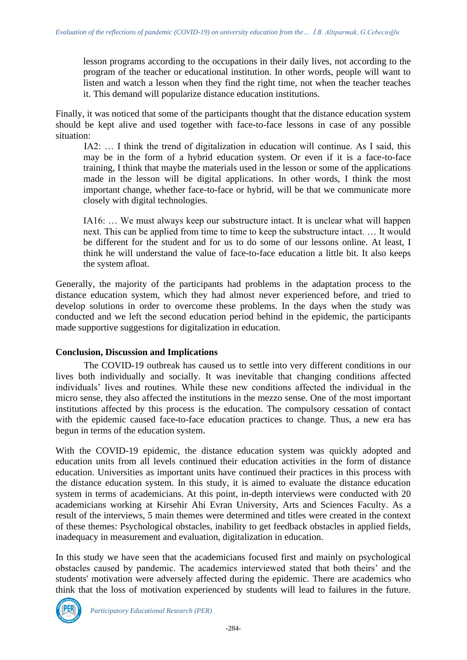lesson programs according to the occupations in their daily lives, not according to the program of the teacher or educational institution. In other words, people will want to listen and watch a lesson when they find the right time, not when the teacher teaches it. This demand will popularize distance education institutions.

Finally, it was noticed that some of the participants thought that the distance education system should be kept alive and used together with face-to-face lessons in case of any possible situation:

IA2: … I think the trend of digitalization in education will continue. As I said, this may be in the form of a hybrid education system. Or even if it is a face-to-face training, I think that maybe the materials used in the lesson or some of the applications made in the lesson will be digital applications. In other words, I think the most important change, whether face-to-face or hybrid, will be that we communicate more closely with digital technologies.

IA16: … We must always keep our substructure intact. It is unclear what will happen next. This can be applied from time to time to keep the substructure intact. … It would be different for the student and for us to do some of our lessons online. At least, I think he will understand the value of face-to-face education a little bit. It also keeps the system afloat.

Generally, the majority of the participants had problems in the adaptation process to the distance education system, which they had almost never experienced before, and tried to develop solutions in order to overcome these problems. In the days when the study was conducted and we left the second education period behind in the epidemic, the participants made supportive suggestions for digitalization in education.

#### **Conclusion, Discussion and Implications**

The COVID-19 outbreak has caused us to settle into very different conditions in our lives both individually and socially. It was inevitable that changing conditions affected individuals' lives and routines. While these new conditions affected the individual in the micro sense, they also affected the institutions in the mezzo sense. One of the most important institutions affected by this process is the education. The compulsory cessation of contact with the epidemic caused face-to-face education practices to change. Thus, a new era has begun in terms of the education system.

With the COVID-19 epidemic, the distance education system was quickly adopted and education units from all levels continued their education activities in the form of distance education. Universities as important units have continued their practices in this process with the distance education system. In this study, it is aimed to evaluate the distance education system in terms of academicians. At this point, in-depth interviews were conducted with 20 academicians working at Kirsehir Ahi Evran University, Arts and Sciences Faculty. As a result of the interviews, 5 main themes were determined and titles were created in the context of these themes: Psychological obstacles, inability to get feedback obstacles in applied fields, inadequacy in measurement and evaluation, digitalization in education.

In this study we have seen that the academicians focused first and mainly on psychological obstacles caused by pandemic. The academics interviewed stated that both theirs' and the students' motivation were adversely affected during the epidemic. There are academics who think that the loss of motivation experienced by students will lead to failures in the future.

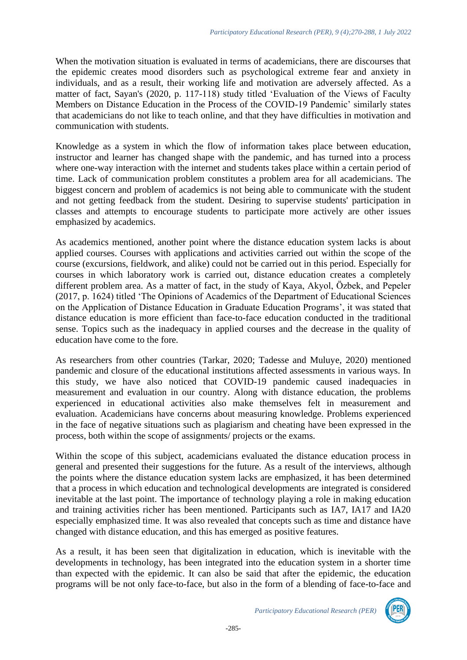When the motivation situation is evaluated in terms of academicians, there are discourses that the epidemic creates mood disorders such as psychological extreme fear and anxiety in individuals, and as a result, their working life and motivation are adversely affected. As a matter of fact, Sayan's (2020, p. 117-118) study titled 'Evaluation of the Views of Faculty Members on Distance Education in the Process of the COVID-19 Pandemic' similarly states that academicians do not like to teach online, and that they have difficulties in motivation and communication with students.

Knowledge as a system in which the flow of information takes place between education, instructor and learner has changed shape with the pandemic, and has turned into a process where one-way interaction with the internet and students takes place within a certain period of time. Lack of communication problem constitutes a problem area for all academicians. The biggest concern and problem of academics is not being able to communicate with the student and not getting feedback from the student. Desiring to supervise students' participation in classes and attempts to encourage students to participate more actively are other issues emphasized by academics.

As academics mentioned, another point where the distance education system lacks is about applied courses. Courses with applications and activities carried out within the scope of the course (excursions, fieldwork, and alike) could not be carried out in this period. Especially for courses in which laboratory work is carried out, distance education creates a completely different problem area. As a matter of fact, in the study of Kaya, Akyol, Özbek, and Pepeler (2017, p. 1624) titled 'The Opinions of Academics of the Department of Educational Sciences on the Application of Distance Education in Graduate Education Programs', it was stated that distance education is more efficient than face-to-face education conducted in the traditional sense. Topics such as the inadequacy in applied courses and the decrease in the quality of education have come to the fore.

As researchers from other countries (Tarkar, 2020; Tadesse and Muluye, 2020) mentioned pandemic and closure of the educational institutions affected assessments in various ways. In this study, we have also noticed that COVID-19 pandemic caused inadequacies in measurement and evaluation in our country. Along with distance education, the problems experienced in educational activities also make themselves felt in measurement and evaluation. Academicians have concerns about measuring knowledge. Problems experienced in the face of negative situations such as plagiarism and cheating have been expressed in the process, both within the scope of assignments/ projects or the exams.

Within the scope of this subject, academicians evaluated the distance education process in general and presented their suggestions for the future. As a result of the interviews, although the points where the distance education system lacks are emphasized, it has been determined that a process in which education and technological developments are integrated is considered inevitable at the last point. The importance of technology playing a role in making education and training activities richer has been mentioned. Participants such as IA7, IA17 and IA20 especially emphasized time. It was also revealed that concepts such as time and distance have changed with distance education, and this has emerged as positive features.

As a result, it has been seen that digitalization in education, which is inevitable with the developments in technology, has been integrated into the education system in a shorter time than expected with the epidemic. It can also be said that after the epidemic, the education programs will be not only face-to-face, but also in the form of a blending of face-to-face and

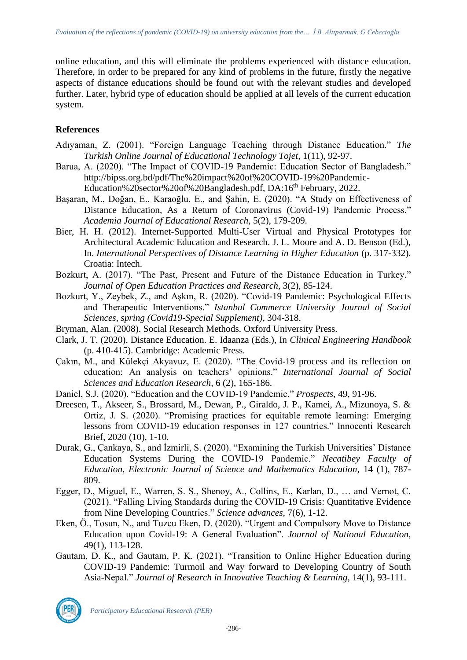online education, and this will eliminate the problems experienced with distance education. Therefore, in order to be prepared for any kind of problems in the future, firstly the negative aspects of distance educations should be found out with the relevant studies and developed further. Later, hybrid type of education should be applied at all levels of the current education system.

## **References**

- Adıyaman, Z. (2001). "Foreign Language Teaching through Distance Education." *The Turkish Online Journal of Educational Technology Tojet,* 1(11), 92-97.
- Barua, A. (2020). "The Impact of COVID-19 Pandemic: Education Sector of Bangladesh." [http://bipss.org.bd/pdf/The%20impact%20of%20COVID-19%20Pandemic-](http://bipss.org.bd/pdf/The%20impact%20of%20COVID-19%20Pandemic-Education%20sector%20of%20Bangladesh.pdf)[Education%20sector%20of%20Bangladesh.pdf,](http://bipss.org.bd/pdf/The%20impact%20of%20COVID-19%20Pandemic-Education%20sector%20of%20Bangladesh.pdf) DA:16<sup>th</sup> February, 2022.
- Başaran, M., Doğan, E., Karaoğlu, E., and Şahin, E. (2020). "A Study on Effectiveness of Distance Education, As a Return of Coronavirus (Covid-19) Pandemic Process." *Academia Journal of Educational Research*, 5(2), 179-209.
- Bier, H. H. (2012). Internet-Supported Multi-User Virtual and Physical Prototypes for Architectural Academic Education and Research. J. L. Moore and A. D. Benson (Ed.), In. *International Perspectives of Distance Learning in Higher Education* (p. 317-332). Croatia: Intech.
- Bozkurt, A. (2017). "The Past, Present and Future of the Distance Education in Turkey." *Journal of Open Education Practices and Research,* 3(2), 85-124.
- Bozkurt, Y., Zeybek, Z., and Aşkın, R. (2020). "Covid-19 Pandemic: Psychological Effects and Therapeutic Interventions." *Istanbul Commerce University Journal of Social Sciences, spring (Covid19-Special Supplement)*, 304-318.
- Bryman, Alan. (2008). Social Research Methods. Oxford University Press.
- Clark, J. T. (2020). Distance Education. E. Idaanza (Eds.), In *Clinical Engineering Handbook* (p. 410-415). Cambridge: Academic Press.
- Çakın, M., and Külekçi Akyavuz, E. (2020). "The Covid-19 process and its reflection on education: An analysis on teachers' opinions." *International Journal of Social Sciences and Education Research,* 6 (2), 165-186.
- Daniel, S.J. (2020). "Education and the COVID-19 Pandemic." *Prospects,* 49, 91-96.
- Dreesen, T., Akseer, S., Brossard, M., Dewan, P., Giraldo, J. P., Kamei, A., Mizunoya, S. & Ortiz, J. S. (2020). "Promising practices for equitable remote learning: Emerging lessons from COVID-19 education responses in 127 countries." Innocenti Research Brief, 2020 (10), 1-10.
- Durak, G., Çankaya, S., and İzmirli, S. (2020). "Examining the Turkish Universities' Distance Education Systems During the COVID-19 Pandemic." *Necatibey Faculty of Education, Electronic Journal of Science and Mathematics Education,* 14 (1), 787- 809.
- Egger, D., Miguel, E., Warren, S. S., Shenoy, A., Collins, E., Karlan, D., … and Vernot, C. (2021). "Falling Living Standards during the COVID-19 Crisis: Quantitative Evidence from Nine Developing Countries." *Science advances,* 7(6), 1-12.
- Eken, Ö., Tosun, N., and Tuzcu Eken, D. (2020). "Urgent and Compulsory Move to Distance Education upon Covid-19: A General Evaluation". *Journal of National Education,* 49(1), 113-128.
- Gautam, D. K., and Gautam, P. K. (2021). "Transition to Online Higher Education during COVID-19 Pandemic: Turmoil and Way forward to Developing Country of South Asia-Nepal." *Journal of Research in Innovative Teaching & Learning*, 14(1), 93-111.



*Participatory Educational Research (PER)*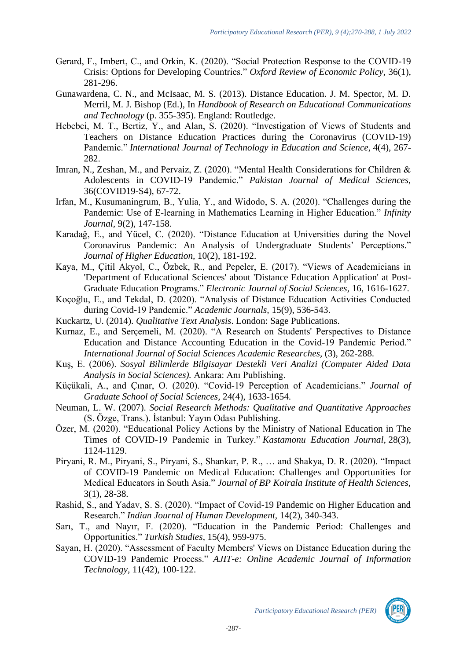- Gerard, F., Imbert, C., and Orkin, K. (2020). "Social Protection Response to the COVID-19 Crisis: Options for Developing Countries." *Oxford Review of Economic Policy,* 36(1), 281-296.
- Gunawardena, C. N., and McIsaac, M. S. (2013). Distance Education. J. M. Spector, M. D. Merril, M. J. Bishop (Ed.), In *Handbook of Research on Educational Communications and Technology* (p. 355-395). England: Routledge.
- Hebebci, M. T., Bertiz, Y., and Alan, S. (2020). "Investigation of Views of Students and Teachers on Distance Education Practices during the Coronavirus (COVID-19) Pandemic." *International Journal of Technology in Education and Science*, 4(4), 267- 282.
- Imran, N., Zeshan, M., and Pervaiz, Z. (2020). "Mental Health Considerations for Children & Adolescents in COVID-19 Pandemic." *Pakistan Journal of Medical Sciences,*  36(COVID19-S4), 67-72.
- Irfan, M., Kusumaningrum, B., Yulia, Y., and Widodo, S. A. (2020). "Challenges during the Pandemic: Use of E-learning in Mathematics Learning in Higher Education." *Infinity Journal,* 9(2), 147-158.
- Karadağ, E., and Yücel, C. (2020). "Distance Education at Universities during the Novel Coronavirus Pandemic: An Analysis of Undergraduate Students' Perceptions." *Journal of Higher Education,* 10(2), 181-192.
- Kaya, M., Çitil Akyol, C., Özbek, R., and Pepeler, E. (2017). "Views of Academicians in 'Department of Educational Sciences' about 'Distance Education Application' at Post-Graduate Education Programs." *Electronic Journal of Social Sciences,* 16, 1616-1627.
- Koçoğlu, E., and Tekdal, D. (2020). "Analysis of Distance Education Activities Conducted during Covid-19 Pandemic." *Academic Journals,* 15(9), 536-543.
- Kuckartz, U. (2014). *Qualitative Text Analysis*. London: Sage Publications.
- Kurnaz, E., and Serçemeli, M. (2020). "A Research on Students' Perspectives to Distance Education and Distance Accounting Education in the Covid-19 Pandemic Period." *International Journal of Social Sciences Academic Researches,* (3), 262-288.
- Kuş, E. (2006). *Sosyal Bilimlerde Bilgisayar Destekli Veri Analizi (Computer Aided Data Analysis in Social Sciences).* Ankara: Anı Publishing.
- Küçükali, A., and Çınar, O. (2020). "Covid-19 Perception of Academicians." *Journal of Graduate School of Social Sciences,* 24(4), 1633-1654.
- Neuman, L. W. (2007). *Social Research Methods: Qualitative and Quantitative Approaches*  (S. Özge, Trans.). İstanbul: Yayın Odası Publishing.
- Özer, M. (2020). "Educational Policy Actions by the Ministry of National Education in The Times of COVID-19 Pandemic in Turkey." *Kastamonu Education Journal*, 28(3), 1124-1129.
- Piryani, R. M., Piryani, S., Piryani, S., Shankar, P. R., … and Shakya, D. R. (2020). "Impact of COVID-19 Pandemic on Medical Education: Challenges and Opportunities for Medical Educators in South Asia." *Journal of BP Koirala Institute of Health Sciences,*  3(1), 28-38.
- Rashid, S., and Yadav, S. S. (2020). "Impact of Covid-19 Pandemic on Higher Education and Research." *Indian Journal of Human Development,* 14(2), 340-343.
- Sarı, T., and Nayır, F. (2020). "Education in the Pandemic Period: Challenges and Opportunities." *Turkish Studies*, 15(4), 959-975.
- Sayan, H. (2020). "Assessment of Faculty Members' Views on Distance Education during the COVID-19 Pandemic Process." *AJIT-e: Online Academic Journal of Information Technology,* 11(42), 100-122.